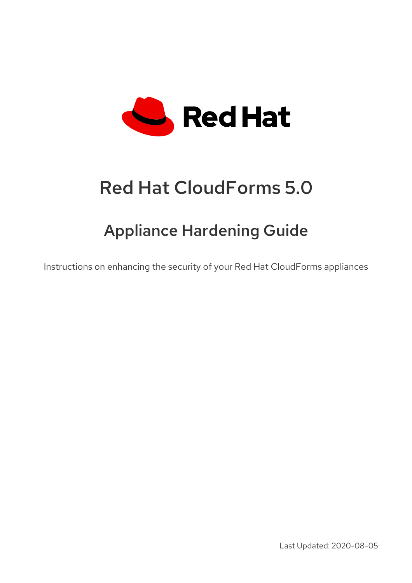

# Red Hat CloudForms 5.0

# Appliance Hardening Guide

Instructions on enhancing the security of your Red Hat CloudForms appliances

Last Updated: 2020-08-05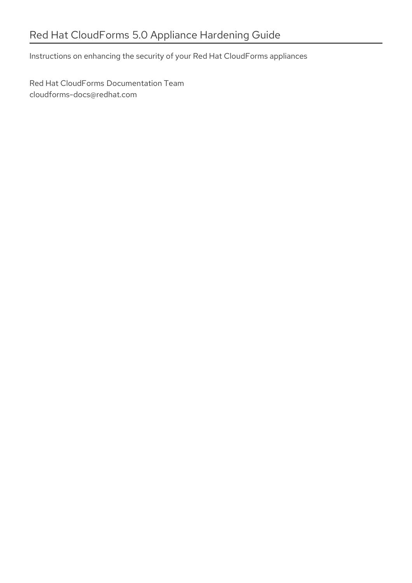Instructions on enhancing the security of your Red Hat CloudForms appliances

Red Hat CloudForms Documentation Team cloudforms-docs@redhat.com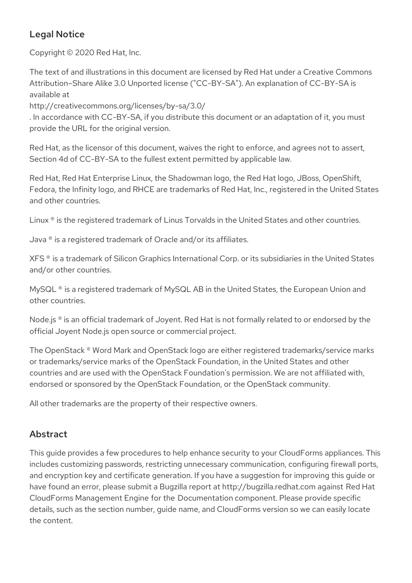## Legal Notice

Copyright © 2020 Red Hat, Inc.

The text of and illustrations in this document are licensed by Red Hat under a Creative Commons Attribution–Share Alike 3.0 Unported license ("CC-BY-SA"). An explanation of CC-BY-SA is available at

http://creativecommons.org/licenses/by-sa/3.0/

. In accordance with CC-BY-SA, if you distribute this document or an adaptation of it, you must provide the URL for the original version.

Red Hat, as the licensor of this document, waives the right to enforce, and agrees not to assert, Section 4d of CC-BY-SA to the fullest extent permitted by applicable law.

Red Hat, Red Hat Enterprise Linux, the Shadowman logo, the Red Hat logo, JBoss, OpenShift, Fedora, the Infinity logo, and RHCE are trademarks of Red Hat, Inc., registered in the United States and other countries.

Linux ® is the registered trademark of Linus Torvalds in the United States and other countries.

Java ® is a registered trademark of Oracle and/or its affiliates.

XFS ® is a trademark of Silicon Graphics International Corp. or its subsidiaries in the United States and/or other countries.

MySQL<sup>®</sup> is a registered trademark of MySQL AB in the United States, the European Union and other countries.

Node.js ® is an official trademark of Joyent. Red Hat is not formally related to or endorsed by the official Joyent Node.js open source or commercial project.

The OpenStack ® Word Mark and OpenStack logo are either registered trademarks/service marks or trademarks/service marks of the OpenStack Foundation, in the United States and other countries and are used with the OpenStack Foundation's permission. We are not affiliated with, endorsed or sponsored by the OpenStack Foundation, or the OpenStack community.

All other trademarks are the property of their respective owners.

## Abstract

This guide provides a few procedures to help enhance security to your CloudForms appliances. This includes customizing passwords, restricting unnecessary communication, configuring firewall ports, and encryption key and certificate generation. If you have a suggestion for improving this guide or have found an error, please submit a Bugzilla report at http://bugzilla.redhat.com against Red Hat CloudForms Management Engine for the Documentation component. Please provide specific details, such as the section number, guide name, and CloudForms version so we can easily locate the content.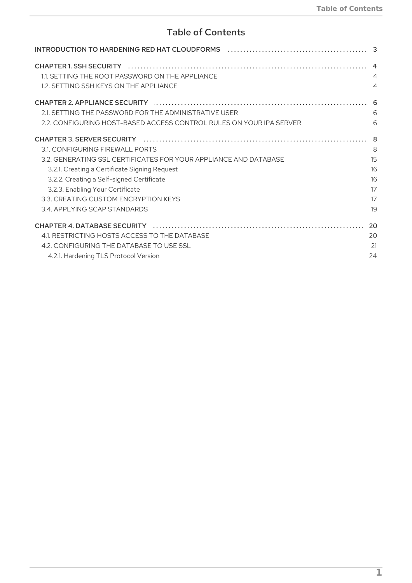# Table of Contents

| INTRODUCTION TO HARDENING RED HAT CLOUDFORMS                        |  |
|---------------------------------------------------------------------|--|
|                                                                     |  |
| 1.1. SETTING THE ROOT PASSWORD ON THE APPLIANCE                     |  |
| 1.2. SETTING SSH KEYS ON THE APPLIANCE                              |  |
| <b>CHAPTER 2. APPLIANCE SECURITY</b>                                |  |
| 2.1. SETTING THE PASSWORD FOR THE ADMINISTRATIVE USER               |  |
| 2.2. CONFIGURING HOST-BASED ACCESS CONTROL RULES ON YOUR IPA SERVER |  |
| <b>CHAPTER 3. SERVER SECURITY</b>                                   |  |
| 3.1. CONFIGURING FIREWALL PORTS                                     |  |
| 3.2. GENERATING SSL CERTIFICATES FOR YOUR APPLIANCE AND DATABASE    |  |
| 3.2.1. Creating a Certificate Signing Request                       |  |
| 3.2.2. Creating a Self-signed Certificate                           |  |
| 3.2.3. Enabling Your Certificate                                    |  |
| 3.3. CREATING CUSTOM ENCRYPTION KEYS                                |  |
| 3.4. APPLYING SCAP STANDARDS                                        |  |
| <b>CHAPTER 4. DATABASE SECURITY</b>                                 |  |
| 4.1. RESTRICTING HOSTS ACCESS TO THE DATABASE                       |  |
| 4.2. CONFIGURING THE DATABASE TO USE SSL                            |  |
| 4.2.1. Hardening TLS Protocol Version                               |  |
|                                                                     |  |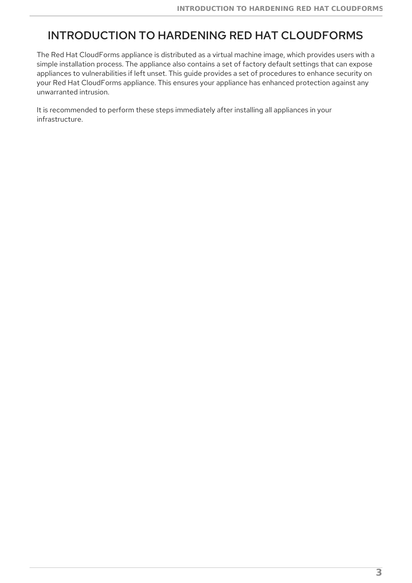# <span id="page-6-0"></span>INTRODUCTION TO HARDENING RED HAT CLOUDFORMS

The Red Hat CloudForms appliance is distributed as a virtual machine image, which provides users with a simple installation process. The appliance also contains a set of factory default settings that can expose appliances to vulnerabilities if left unset. This guide provides a set of procedures to enhance security on your Red Hat CloudForms appliance. This ensures your appliance has enhanced protection against any unwarranted intrusion.

It is recommended to perform these steps immediately after installing all appliances in your infrastructure.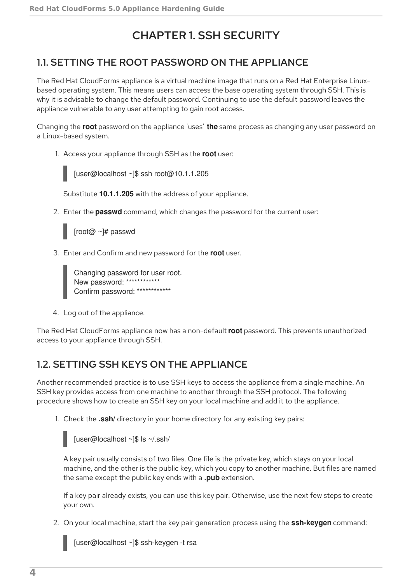# CHAPTER 1. SSH SECURITY

## <span id="page-7-1"></span><span id="page-7-0"></span>1.1. SETTING THE ROOT PASSWORD ON THE APPLIANCE

The Red Hat CloudForms appliance is a virtual machine image that runs on a Red Hat Enterprise Linuxbased operating system. This means users can access the base operating system through SSH. This is why it is advisable to change the default password. Continuing to use the default password leaves the appliance vulnerable to any user attempting to gain root access.

Changing the **root** password on the appliance 'uses' **the** same process as changing any user password on a Linux-based system.

1. Access your appliance through SSH as the **root** user:

[user@localhost ~]\$ ssh root@10.1.1.205

Substitute **10.1.1.205** with the address of your appliance.

2. Enter the **passwd** command, which changes the password for the current user:



3. Enter and Confirm and new password for the **root** user.

Changing password for user root. New password: \*\*\*\*\*\*\*\*\*\*\*\* Confirm password: \*\*\*\*\*\*\*\*\*\*\*\*\*

4. Log out of the appliance.

The Red Hat CloudForms appliance now has a non-default **root** password. This prevents unauthorized access to your appliance through SSH.

## <span id="page-7-2"></span>1.2. SETTING SSH KEYS ON THE APPLIANCE

Another recommended practice is to use SSH keys to access the appliance from a single machine. An SSH key provides access from one machine to another through the SSH protocol. The following procedure shows how to create an SSH key on your local machine and add it to the appliance.

1. Check the **.ssh/** directory in your home directory for any existing key pairs:

[user@localhost ~]\$ ls ~/.ssh/

A key pair usually consists of two files. One file is the private key, which stays on your local machine, and the other is the public key, which you copy to another machine. But files are named the same except the public key ends with a **.pub** extension.

If a key pair already exists, you can use this key pair. Otherwise, use the next few steps to create your own.

2. On your local machine, start the key pair generation process using the **ssh-keygen** command:

[user@localhost ~]\$ ssh-keygen -t rsa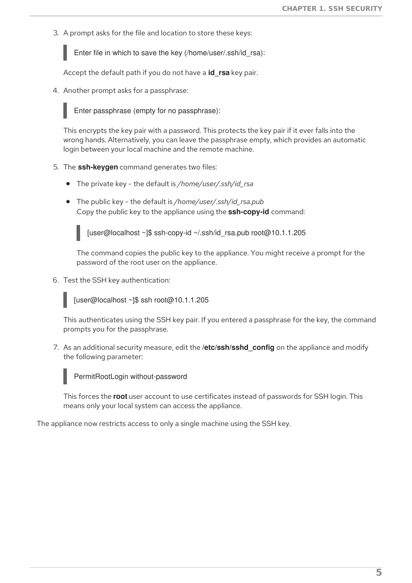3. A prompt asks for the file and location to store these keys:

Enter file in which to save the key (/home/user/.ssh/id\_rsa):

Accept the default path if you do not have a **id rsa** key pair.

4. Another prompt asks for a passphrase:



Enter passphrase (empty for no passphrase):

This encrypts the key pair with a password. This protects the key pair if it ever falls into the wrong hands. Alternatively, you can leave the passphrase empty, which provides an automatic login between your local machine and the remote machine.

- 5. The **ssh-keygen** command generates two files:
	- The private key the default is */home/user/.ssh/id\_rsa*
	- The public key the default is */home/user/.ssh/id\_rsa.pub* Copy the public key to the appliance using the **ssh-copy-id** command:

[user@localhost ~]\$ ssh-copy-id ~/.ssh/id\_rsa.pub root@10.1.1.205

The command copies the public key to the appliance. You might receive a prompt for the password of the root user on the appliance.

6. Test the SSH key authentication:

[user@localhost ~]\$ ssh root@10.1.1.205

This authenticates using the SSH key pair. If you entered a passphrase for the key, the command prompts you for the passphrase.

7. As an additional security measure, edit the **/etc/ssh/sshd\_config** on the appliance and modify the following parameter:



PermitRootLogin without-password

This forces the **root** user account to use certificates instead of passwords for SSH login. This means only your local system can access the appliance.

The appliance now restricts access to only a single machine using the SSH key.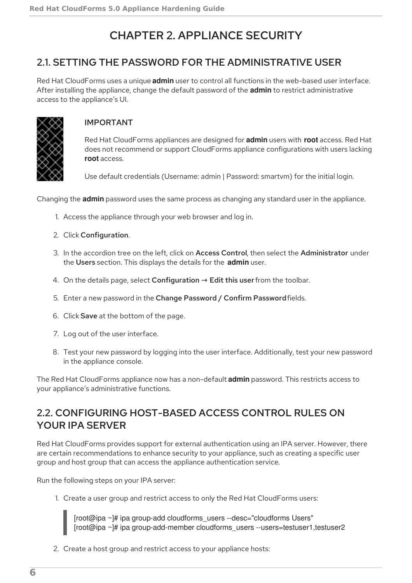# CHAPTER 2. APPLIANCE SECURITY

## <span id="page-9-1"></span><span id="page-9-0"></span>2.1. SETTING THE PASSWORD FOR THE ADMINISTRATIVE USER

Red Hat CloudForms uses a unique **admin** user to control all functions in the web-based user interface. After installing the appliance, change the default password of the **admin** to restrict administrative access to the appliance's UI.



## IMPORTANT

Red Hat CloudForms appliances are designed for **admin** users with **root** access. Red Hat does not recommend or support CloudForms appliance configurations with users lacking **root** access.

Use default credentials (Username: admin | Password: smartvm) for the initial login.

Changing the **admin** password uses the same process as changing any standard user in the appliance.

- 1. Access the appliance through your web browser and log in.
- 2. Click Configuration.
- 3. In the accordion tree on the left, click on Access Control, then select the Administrator under the Users section. This displays the details for the **admin** user.
- 4. On the details page, select Configuration  $\rightarrow$  Edit this user from the toolbar.
- 5. Enter a new password in the Change Password / Confirm Passwordfields.
- 6. Click Save at the bottom of the page.
- 7. Log out of the user interface.
- 8. Test your new password by logging into the user interface. Additionally, test your new password in the appliance console.

The Red Hat CloudForms appliance now has a non-default **admin** password. This restricts access to your appliance's administrative functions.

## <span id="page-9-2"></span>2.2. CONFIGURING HOST-BASED ACCESS CONTROL RULES ON YOUR IPA SERVER

Red Hat CloudForms provides support for external authentication using an IPA server. However, there are certain recommendations to enhance security to your appliance, such as creating a specific user group and host group that can access the appliance authentication service.

Run the following steps on your IPA server:

1. Create a user group and restrict access to only the Red Hat CloudForms users:

[root@ipa ~]# ipa group-add cloudforms\_users --desc="cloudforms Users" [root@ipa ~]# ipa group-add-member cloudforms\_users --users=testuser1,testuser2

2. Create a host group and restrict access to your appliance hosts: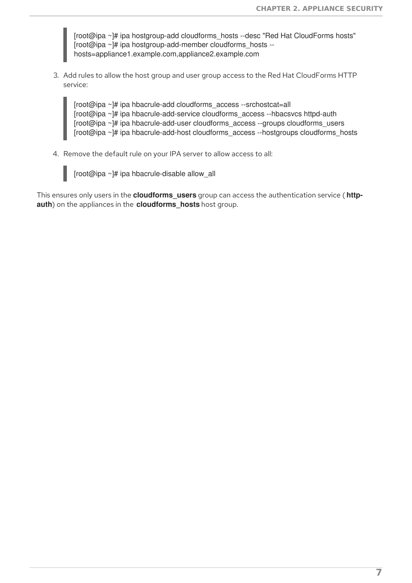[root@ipa ~]# ipa hostgroup-add cloudforms\_hosts --desc "Red Hat CloudForms hosts" [root@ipa ~]# ipa hostgroup-add-member cloudforms\_hosts -hosts=appliance1.example.com,appliance2.example.com

3. Add rules to allow the host group and user group access to the Red Hat CloudForms HTTP service:

[root@ipa ~]# ipa hbacrule-add cloudforms\_access --srchostcat=all [root@ipa ~]# ipa hbacrule-add-service cloudforms\_access --hbacsvcs httpd-auth [root@ipa ~]# ipa hbacrule-add-user cloudforms\_access --groups cloudforms\_users [root@ipa ~]# ipa hbacrule-add-host cloudforms\_access --hostgroups cloudforms\_hosts

4. Remove the default rule on your IPA server to allow access to all:

[root@ipa ~]# ipa hbacrule-disable allow\_all

This ensures only users in the **cloudforms\_users** group can access the authentication service ( **httpauth**) on the appliances in the **cloudforms\_hosts** host group.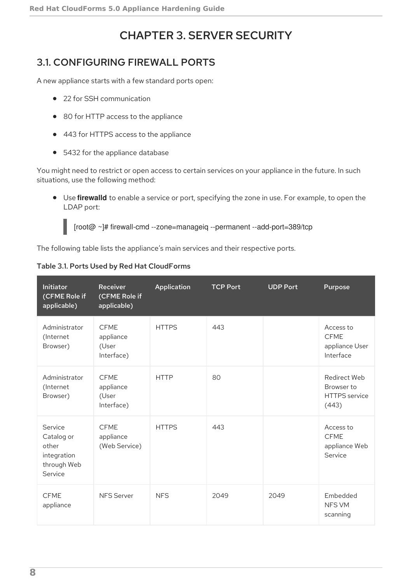# CHAPTER 3. SERVER SECURITY

## <span id="page-11-1"></span><span id="page-11-0"></span>3.1. CONFIGURING FIREWALL PORTS

A new appliance starts with a few standard ports open:

- 22 for SSH communication
- 80 for HTTP access to the appliance
- 443 for HTTPS access to the appliance
- 5432 for the appliance database

You might need to restrict or open access to certain services on your appliance in the future. In such situations, use the following method:

Use **firewalld** to enable a service or port, specifying the zone in use. For example, to open the LDAP port:

[root@ ~]# firewall-cmd --zone=manageiq --permanent --add-port=389/tcp

The following table lists the appliance's main services and their respective ports.

#### Table 3.1. Ports Used by Red Hat CloudForms

| <b>Initiator</b><br>(CFME Role if<br>applicable)                        | <b>Receiver</b><br>(CFME Role if<br>applicable) | Application  | <b>TCP Port</b> | <b>UDP Port</b> | Purpose                                                     |
|-------------------------------------------------------------------------|-------------------------------------------------|--------------|-----------------|-----------------|-------------------------------------------------------------|
| Administrator<br>(Internet<br>Browser)                                  | <b>CFMF</b><br>appliance<br>(User<br>Interface) | <b>HTTPS</b> | 443             |                 | Access to<br><b>CFMF</b><br>appliance User<br>Interface     |
| Administrator<br>(Internet)<br>Browser)                                 | <b>CFMF</b><br>appliance<br>(User<br>Interface) | <b>HTTP</b>  | 80              |                 | Redirect Web<br>Browser to<br><b>HTTPS</b> service<br>(443) |
| Service<br>Catalog or<br>other<br>integration<br>through Web<br>Service | <b>CFME</b><br>appliance<br>(Web Service)       | <b>HTTPS</b> | 443             |                 | Access to<br><b>CFME</b><br>appliance Web<br>Service        |
| <b>CFME</b><br>appliance                                                | <b>NFS Server</b>                               | <b>NFS</b>   | 2049            | 2049            | Embedded<br><b>NFS VM</b><br>scanning                       |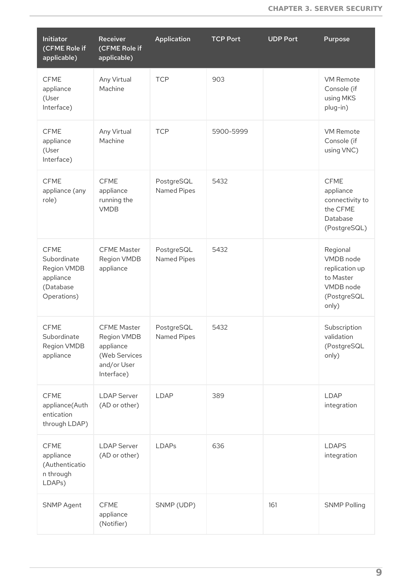| <b>Initiator</b><br>(CFME Role if<br>applicable)                                   | <b>Receiver</b><br>(CFME Role if<br>applicable)                                              | Application               | <b>TCP Port</b> | <b>UDP Port</b> | Purpose                                                                                   |
|------------------------------------------------------------------------------------|----------------------------------------------------------------------------------------------|---------------------------|-----------------|-----------------|-------------------------------------------------------------------------------------------|
| <b>CFME</b><br>appliance<br>(User<br>Interface)                                    | Any Virtual<br>Machine                                                                       | <b>TCP</b>                | 903             |                 | <b>VM Remote</b><br>Console (if<br>using MKS<br>plug-in)                                  |
| <b>CFME</b><br>appliance<br>(User<br>Interface)                                    | Any Virtual<br>Machine                                                                       | <b>TCP</b>                | 5900-5999       |                 | <b>VM Remote</b><br>Console (if<br>using VNC)                                             |
| <b>CFME</b><br>appliance (any<br>role)                                             | <b>CFME</b><br>appliance<br>running the<br><b>VMDB</b>                                       | PostgreSQL<br>Named Pipes | 5432            |                 | <b>CFME</b><br>appliance<br>connectivity to<br>the CFME<br>Database<br>(PostgreSQL)       |
| <b>CFME</b><br>Subordinate<br>Region VMDB<br>appliance<br>(Database<br>Operations) | <b>CFME Master</b><br>Region VMDB<br>appliance                                               | PostgreSQL<br>Named Pipes | 5432            |                 | Regional<br>VMDB node<br>replication up<br>to Master<br>VMDB node<br>(PostgreSQL<br>only) |
| <b>CFME</b><br>Subordinate<br>Region VMDB<br>appliance                             | <b>CFME Master</b><br>Region VMDB<br>appliance<br>(Web Services<br>and/or User<br>Interface) | PostgreSQL<br>Named Pipes | 5432            |                 | Subscription<br>validation<br>(PostgreSQL<br>only)                                        |
| <b>CFME</b><br>appliance(Auth<br>entication<br>through LDAP)                       | <b>LDAP Server</b><br>(AD or other)                                                          | LDAP                      | 389             |                 | LDAP<br>integration                                                                       |
| <b>CFME</b><br>appliance<br>(Authenticatio<br>n through<br>LDAPs)                  | <b>LDAP Server</b><br>(AD or other)                                                          | <b>LDAPs</b>              | 636             |                 | <b>LDAPS</b><br>integration                                                               |
| <b>SNMP Agent</b>                                                                  | <b>CFME</b><br>appliance<br>(Notifier)                                                       | SNMP (UDP)                |                 | 161             | <b>SNMP Polling</b>                                                                       |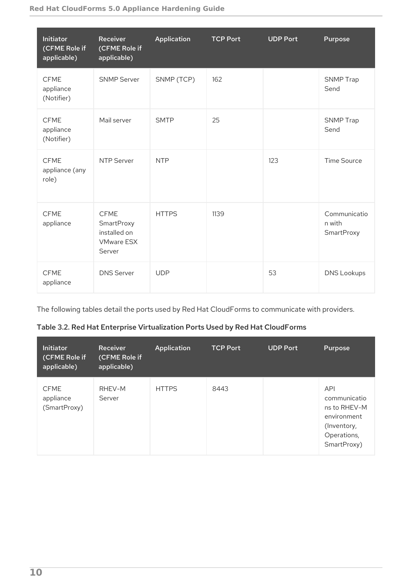| <b>Initiator</b><br>(CFME Role if<br>applicable) | <b>Receiver</b><br>(CFME Role if<br>applicable)                          | Application  | <b>TCP Port</b> | <b>UDP Port</b> | Purpose                              |
|--------------------------------------------------|--------------------------------------------------------------------------|--------------|-----------------|-----------------|--------------------------------------|
| <b>CFME</b><br>appliance<br>(Notifier)           | <b>SNMP Server</b>                                                       | SNMP (TCP)   | 162             |                 | <b>SNMP Trap</b><br>Send             |
| <b>CFME</b><br>appliance<br>(Notifier)           | Mail server                                                              | <b>SMTP</b>  | 25              |                 | <b>SNMP Trap</b><br>Send             |
| <b>CFME</b><br>appliance (any<br>role)           | <b>NTP Server</b>                                                        | <b>NTP</b>   |                 | 123             | <b>Time Source</b>                   |
| <b>CFME</b><br>appliance                         | <b>CFME</b><br>SmartProxy<br>installed on<br><b>VMware ESX</b><br>Server | <b>HTTPS</b> | 1139            |                 | Communicatio<br>n with<br>SmartProxy |
| <b>CFME</b><br>appliance                         | <b>DNS Server</b>                                                        | <b>UDP</b>   |                 | 53              | <b>DNS Lookups</b>                   |

The following tables detail the ports used by Red Hat CloudForms to communicate with providers.

| Table 3.2. Red Hat Enterprise Virtualization Ports Used by Red Hat CloudForms |  |  |
|-------------------------------------------------------------------------------|--|--|
|                                                                               |  |  |

| <b>Initiator</b><br>(CFME Role if<br>applicable) | <b>Receiver</b><br>(CFME Role if<br>applicable) | Application  | <b>TCP Port</b> | <b>UDP Port</b> | Purpose                                                                                                |
|--------------------------------------------------|-------------------------------------------------|--------------|-----------------|-----------------|--------------------------------------------------------------------------------------------------------|
| <b>CFME</b><br>appliance<br>(SmartProxy)         | RHEV-M<br>Server                                | <b>HTTPS</b> | 8443            |                 | <b>API</b><br>communicatio<br>ns to RHEV-M<br>environment<br>(Inventory,<br>Operations,<br>SmartProxy) |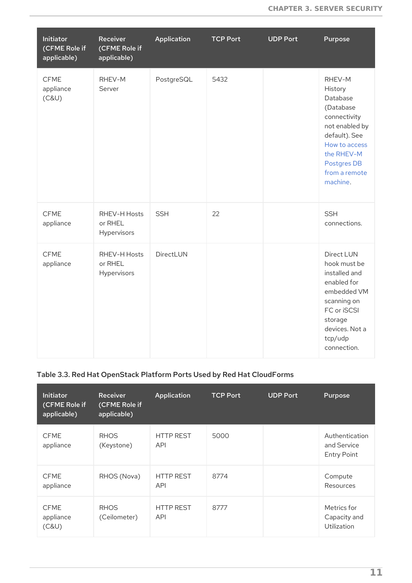| <b>Initiator</b><br>(CFME Role if<br>applicable) | Receiver<br>(CFME Role if<br>applicable) | Application | <b>TCP Port</b> | <b>UDP Port</b> | Purpose                                                                                                                                                                  |
|--------------------------------------------------|------------------------------------------|-------------|-----------------|-----------------|--------------------------------------------------------------------------------------------------------------------------------------------------------------------------|
| <b>CFME</b><br>appliance<br>(C&U)                | RHEV-M<br>Server                         | PostgreSQL  | 5432            |                 | RHEV-M<br>History<br>Database<br>(Database<br>connectivity<br>not enabled by<br>default). See<br>How to access<br>the RHEV-M<br>Postgres DB<br>from a remote<br>machine. |
| <b>CFME</b><br>appliance                         | RHEV-H Hosts<br>or RHEL<br>Hypervisors   | <b>SSH</b>  | 22              |                 | <b>SSH</b><br>connections.                                                                                                                                               |
| <b>CFME</b><br>appliance                         | RHEV-H Hosts<br>or RHEL<br>Hypervisors   | DirectLUN   |                 |                 | Direct LUN<br>hook must be<br>installed and<br>enabled for<br>embedded VM<br>scanning on<br>FC or iSCSI<br>storage<br>devices. Not a<br>tcp/udp<br>connection.           |

### Table 3.3. Red Hat OpenStack Platform Ports Used by Red Hat CloudForms

| <b>Initiator</b><br>(CFME Role if<br>applicable) | Receiver<br>(CFME Role if<br>applicable) | Application                    | <b>TCP Port</b> | <b>UDP Port</b> | Purpose                                             |
|--------------------------------------------------|------------------------------------------|--------------------------------|-----------------|-----------------|-----------------------------------------------------|
| <b>CFME</b><br>appliance                         | <b>RHOS</b><br>(Keystone)                | <b>HTTP REST</b><br><b>API</b> | 5000            |                 | Authentication<br>and Service<br><b>Entry Point</b> |
| <b>CFME</b><br>appliance                         | RHOS (Nova)                              | <b>HTTP REST</b><br><b>API</b> | 8774            |                 | Compute<br>Resources                                |
| <b>CFME</b><br>appliance<br>(C&U)                | <b>RHOS</b><br>(Ceilometer)              | <b>HTTP REST</b><br><b>API</b> | 8777            |                 | Metrics for<br>Capacity and<br>Utilization          |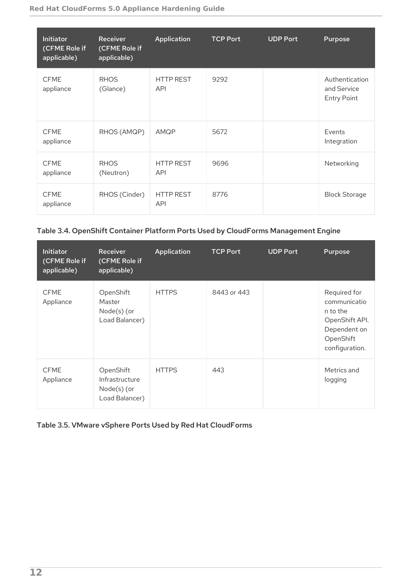| <b>Initiator</b><br>(CFME Role if<br>applicable) | <b>Receiver</b><br>(CFME Role if<br>applicable) | Application                    | <b>TCP Port</b> | <b>UDP Port</b> | Purpose                                             |
|--------------------------------------------------|-------------------------------------------------|--------------------------------|-----------------|-----------------|-----------------------------------------------------|
| <b>CFME</b><br>appliance                         | <b>RHOS</b><br>(Glance)                         | <b>HTTP REST</b><br><b>API</b> | 9292            |                 | Authentication<br>and Service<br><b>Entry Point</b> |
| <b>CFME</b><br>appliance                         | RHOS (AMQP)                                     | <b>AMQP</b>                    | 5672            |                 | Events<br>Integration                               |
| <b>CFME</b><br>appliance                         | <b>RHOS</b><br>(Neutron)                        | <b>HTTP REST</b><br><b>API</b> | 9696            |                 | Networking                                          |
| <b>CFME</b><br>appliance                         | RHOS (Cinder)                                   | <b>HTTP REST</b><br><b>API</b> | 8776            |                 | <b>Block Storage</b>                                |

#### Table 3.4. OpenShift Container Platform Ports Used by CloudForms Management Engine

| <b>Initiator</b><br>(CFME Role if<br>applicable) | Receiver<br>(CFME Role if<br>applicable)                     | Application  | <b>TCP Port</b> | <b>UDP Port</b> | Purpose                                                                                                   |
|--------------------------------------------------|--------------------------------------------------------------|--------------|-----------------|-----------------|-----------------------------------------------------------------------------------------------------------|
| <b>CFME</b><br>Appliance                         | OpenShift<br>Master<br>Node(s) (or<br>Load Balancer)         | <b>HTTPS</b> | 8443 or 443     |                 | Required for<br>communicatio<br>n to the<br>OpenShift API.<br>Dependent on<br>OpenShift<br>configuration. |
| <b>CFME</b><br>Appliance                         | OpenShift<br>Infrastructure<br>Node(s) (or<br>Load Balancer) | <b>HTTPS</b> | 443             |                 | Metrics and<br>logging                                                                                    |

### Table 3.5. VMware vSphere Ports Used by Red Hat CloudForms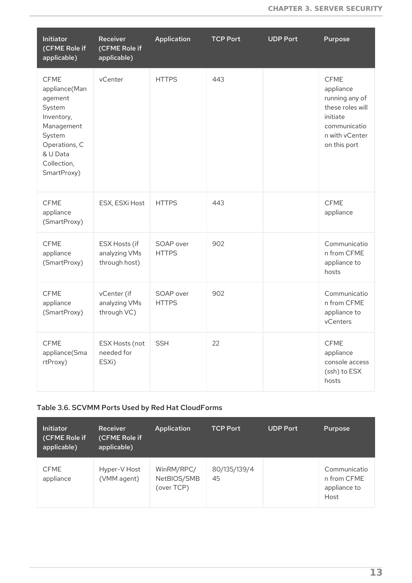| <b>Initiator</b><br>(CFME Role if<br>applicable)                                                                                                   | <b>Receiver</b><br>(CFME Role if<br>applicable) | Application               | <b>TCP Port</b> | <b>UDP Port</b> | Purpose                                                                                                                      |
|----------------------------------------------------------------------------------------------------------------------------------------------------|-------------------------------------------------|---------------------------|-----------------|-----------------|------------------------------------------------------------------------------------------------------------------------------|
| <b>CFME</b><br>appliance(Man<br>agement<br>System<br>Inventory,<br>Management<br>System<br>Operations, C<br>& U Data<br>Collection,<br>SmartProxy) | vCenter                                         | <b>HTTPS</b>              | 443             |                 | <b>CFME</b><br>appliance<br>running any of<br>these roles will<br>initiate<br>communicatio<br>n with vCenter<br>on this port |
| <b>CFME</b><br>appliance<br>(SmartProxy)                                                                                                           | ESX, ESXi Host                                  | <b>HTTPS</b>              | 443             |                 | <b>CFME</b><br>appliance                                                                                                     |
| <b>CFME</b><br>appliance<br>(SmartProxy)                                                                                                           | ESX Hosts (if<br>analyzing VMs<br>through host) | SOAP over<br><b>HTTPS</b> | 902             |                 | Communicatio<br>n from CFME<br>appliance to<br>hosts                                                                         |
| <b>CFME</b><br>appliance<br>(SmartProxy)                                                                                                           | vCenter (if<br>analyzing VMs<br>through VC)     | SOAP over<br><b>HTTPS</b> | 902             |                 | Communicatio<br>n from CFME<br>appliance to<br>vCenters                                                                      |
| <b>CFME</b><br>appliance(Sma<br>rtProxy)                                                                                                           | ESX Hosts (not<br>needed for<br>ESXi)           | <b>SSH</b>                | 22              |                 | <b>CFME</b><br>appliance<br>console access<br>(ssh) to ESX<br>hosts                                                          |

## Table 3.6. SCVMM Ports Used by Red Hat CloudForms

| <b>Initiator</b><br>(CFME Role if<br>applicable) | <b>Receiver</b><br>(CFME Role if<br>applicable) | Application                             | <b>TCP Port</b>    | <b>UDP Port</b> | <b>Purpose</b>                                      |
|--------------------------------------------------|-------------------------------------------------|-----------------------------------------|--------------------|-----------------|-----------------------------------------------------|
| <b>CFME</b><br>appliance                         | Hyper-V Host<br>(VMM agent)                     | WinRM/RPC/<br>NetBIOS/SMB<br>(over TCP) | 80/135/139/4<br>45 |                 | Communicatio<br>n from CFME<br>appliance to<br>Host |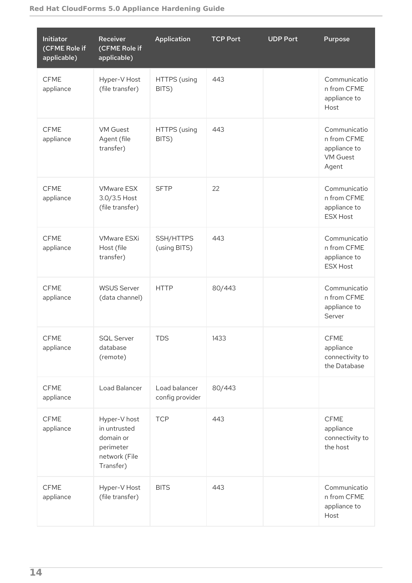| <b>Initiator</b><br>(CFME Role if<br>applicable) | <b>Receiver</b><br>(CFME Role if<br>applicable)                                      | Application                      | <b>TCP Port</b> | <b>UDP Port</b> | Purpose                                                                 |
|--------------------------------------------------|--------------------------------------------------------------------------------------|----------------------------------|-----------------|-----------------|-------------------------------------------------------------------------|
| <b>CFME</b><br>appliance                         | Hyper-V Host<br>(file transfer)                                                      | HTTPS (using<br>BITS)            | 443             |                 | Communicatio<br>n from CFME<br>appliance to<br>Host                     |
| <b>CFMF</b><br>appliance                         | <b>VM Guest</b><br>Agent (file<br>transfer)                                          | HTTPS (using<br>BITS)            | 443             |                 | Communicatio<br>n from CFME<br>appliance to<br><b>VM Guest</b><br>Agent |
| <b>CFME</b><br>appliance                         | <b>VMware ESX</b><br>3.0/3.5 Host<br>(file transfer)                                 | <b>SFTP</b>                      | 22              |                 | Communicatio<br>n from CFME<br>appliance to<br><b>ESX Host</b>          |
| <b>CFME</b><br>appliance                         | <b>VMware ESXi</b><br>Host (file<br>transfer)                                        | SSH/HTTPS<br>(using BITS)        | 443             |                 | Communicatio<br>n from CFME<br>appliance to<br><b>ESX Host</b>          |
| <b>CFME</b><br>appliance                         | <b>WSUS Server</b><br>(data channel)                                                 | <b>HTTP</b>                      | 80/443          |                 | Communicatio<br>n from CFME<br>appliance to<br>Server                   |
| <b>CFME</b><br>appliance                         | <b>SQL Server</b><br>database<br>(remote)                                            | <b>TDS</b>                       | 1433            |                 | <b>CFME</b><br>appliance<br>connectivity to<br>the Database             |
| <b>CFME</b><br>appliance                         | Load Balancer                                                                        | Load balancer<br>config provider | 80/443          |                 |                                                                         |
| <b>CFME</b><br>appliance                         | Hyper-V host<br>in untrusted<br>domain or<br>perimeter<br>network (File<br>Transfer) | <b>TCP</b>                       | 443             |                 | <b>CFME</b><br>appliance<br>connectivity to<br>the host                 |
| <b>CFME</b><br>appliance                         | Hyper-V Host<br>(file transfer)                                                      | <b>BITS</b>                      | 443             |                 | Communicatio<br>n from CFME<br>appliance to<br>Host                     |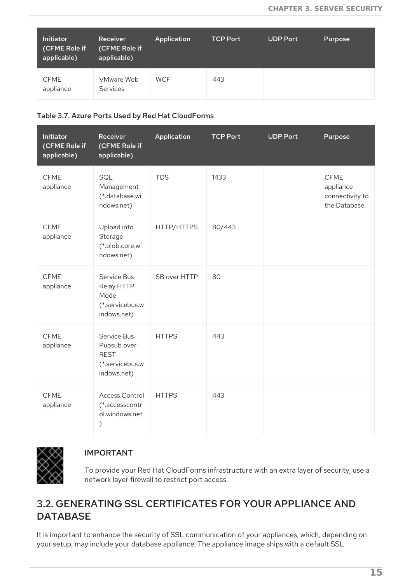| <b>Initiator</b><br>(CFME Role if<br>applicable) | <b>Receiver</b><br>(CFME Role if<br>applicable) | Application | <b>TCP Port</b> | <b>UDP Port</b> | Purpose |
|--------------------------------------------------|-------------------------------------------------|-------------|-----------------|-----------------|---------|
| <b>CFME</b><br>appliance                         | <b>VMware Web</b><br><b>Services</b>            | <b>WCF</b>  | 443             |                 |         |

#### Table 3.7. Azure Ports Used by Red Hat CloudForms

| <b>Initiator</b><br>(CFME Role if<br>applicable) | <b>Receiver</b><br>(CFME Role if<br>applicable)                             | Application  | <b>TCP Port</b> | <b>UDP Port</b> | Purpose                                                     |
|--------------------------------------------------|-----------------------------------------------------------------------------|--------------|-----------------|-----------------|-------------------------------------------------------------|
| <b>CFME</b><br>appliance                         | SQL<br>Management<br>(*.database.wi<br>ndows.net)                           | <b>TDS</b>   | 1433            |                 | <b>CFME</b><br>appliance<br>connectivity to<br>the Database |
| <b>CFME</b><br>appliance                         | Upload into<br>Storage<br>(*.blob.core.wi<br>ndows.net)                     | HTTP/HTTPS   | 80/443          |                 |                                                             |
| <b>CFME</b><br>appliance                         | Service Bus<br>Relay HTTP<br>Mode<br>(*.servicebus.w<br>indows.net)         | SB over HTTP | 80              |                 |                                                             |
| <b>CFME</b><br>appliance                         | Service Bus<br>Pubsub over<br><b>REST</b><br>(*.servicebus.w<br>indows.net) | <b>HTTPS</b> | 443             |                 |                                                             |
| <b>CFME</b><br>appliance                         | <b>Access Control</b><br>(*.accesscontr<br>ol.windows.net                   | <b>HTTPS</b> | 443             |                 |                                                             |



## IMPORTANT

To provide your Red Hat CloudForms infrastructure with an extra layer of security, use a network layer firewall to restrict port access.

## <span id="page-18-0"></span>3.2. GENERATING SSL CERTIFICATES FOR YOUR APPLIANCE AND **DATABASE**

It is important to enhance the security of SSL communication of your appliances, which, depending on your setup, may include your database appliance. The appliance image ships with a default SSL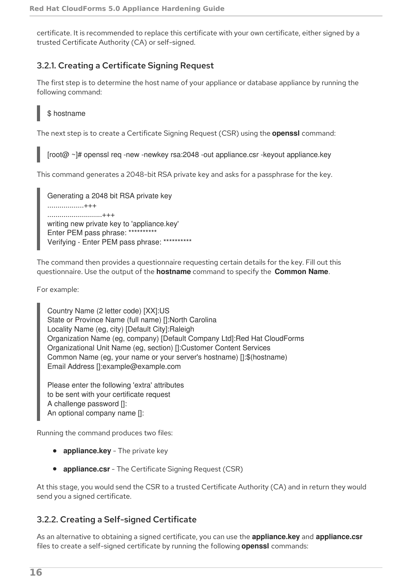<span id="page-19-2"></span>certificate. It is recommended to replace this certificate with your own certificate, either signed by a trusted Certificate Authority (CA) or self-signed.

## <span id="page-19-0"></span>3.2.1. Creating a Certificate Signing Request

The first step is to determine the host name of your appliance or database appliance by running the following command:

\$ hostname

The next step is to create a Certificate Signing Request (CSR) using the **openssl** command:

[root@ ~]# openssl req -new -newkey rsa:2048 -out appliance.csr -keyout appliance.key

This command generates a 2048-bit RSA private key and asks for a passphrase for the key.

Generating a 2048 bit RSA private key ..................+++ ...........................+++ writing new private key to 'appliance.key' Enter PEM pass phrase: \*\*\*\*\*\*\*\*\*\* Verifying - Enter PEM pass phrase: \*\*\*\*\*\*\*\*\*\*

The command then provides a questionnaire requesting certain details for the key. Fill out this questionnaire. Use the output of the **hostname** command to specify the **Common Name**.

For example:

Country Name (2 letter code) [XX]:US State or Province Name (full name) []:North Carolina Locality Name (eg, city) [Default City]:Raleigh Organization Name (eg, company) [Default Company Ltd]:Red Hat CloudForms Organizational Unit Name (eg, section) []:Customer Content Services Common Name (eg, your name or your server's hostname) []:\$(hostname) Email Address []:example@example.com

Please enter the following 'extra' attributes to be sent with your certificate request A challenge password []: An optional company name []:

Running the command produces two files:

- **appliance.key** The private key
- **appliance.csr** The Certificate Signing Request (CSR)

At this stage, you would send the CSR to a trusted Certificate Authority (CA) and in return they would send you a signed certificate.

#### <span id="page-19-1"></span>3.2.2. Creating a Self-signed Certificate

As an alternative to obtaining a signed certificate, you can use the **appliance.key** and **appliance.csr** files to create a self-signed certificate by running the following **openssl** commands: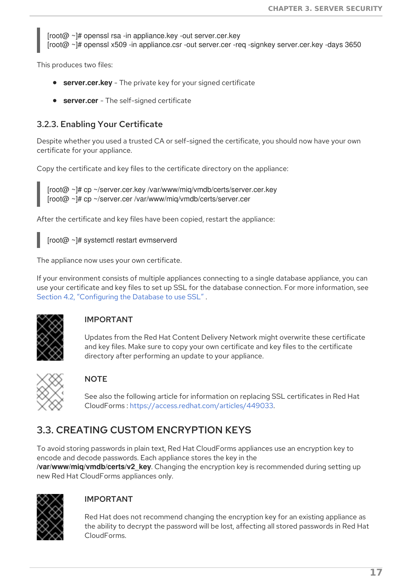[root@ ~]# openssl rsa -in appliance.key -out server.cer.key [root@ ~]# openssl x509 -in appliance.csr -out server.cer -req -signkey server.cer.key -days 3650

This produces two files:

- **server.cer.key** The private key for your signed certificate
- **server.cer** The self-signed certificate

## <span id="page-20-0"></span>3.2.3. Enabling Your Certificate

Despite whether you used a trusted CA or self-signed the certificate, you should now have your own certificate for your appliance.

Copy the certificate and key files to the certificate directory on the appliance:

[root@ ~]# cp ~/server.cer.key /var/www/miq/vmdb/certs/server.cer.key [root@ ~]# cp ~/server.cer /var/www/miq/vmdb/certs/server.cer

After the certificate and key files have been copied, restart the appliance:

[root@ ~]# systemctl restart evmserverd

The appliance now uses your own certificate.

If your environment consists of multiple appliances connecting to a single database appliance, you can use your certificate and key files to set up SSL for the database connection. For more information, see Section 4.2, ["Configuring](#page-25-0) the Database to use SSL" .



#### IMPORTANT

Updates from the Red Hat Content Delivery Network might overwrite these certificate and key files. Make sure to copy your own certificate and key files to the certificate directory after performing an update to your appliance.



## **NOTE**

See also the following article for information on replacing SSL certificates in Red Hat CloudForms : [https://access.redhat.com/articles/449033.](https://access.redhat.com/articles/449033)

# <span id="page-20-1"></span>3.3. CREATING CUSTOM ENCRYPTION KEYS

To avoid storing passwords in plain text, Red Hat CloudForms appliances use an encryption key to encode and decode passwords. Each appliance stores the key in the **/var/www/miq/vmdb/certs/v2\_key**. Changing the encryption key is recommended during setting up new Red Hat CloudForms appliances only.



#### IMPORTANT

Red Hat does not recommend changing the encryption key for an existing appliance as the ability to decrypt the password will be lost, affecting all stored passwords in Red Hat CloudForms.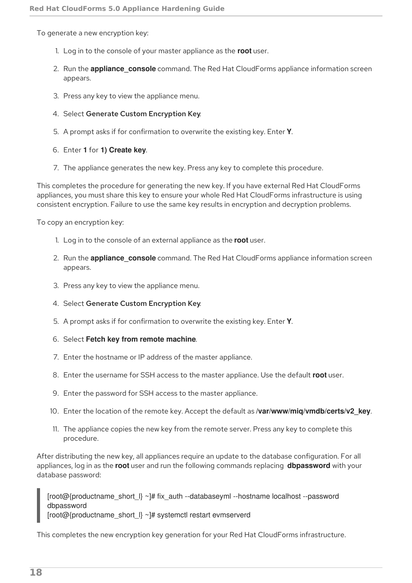To generate a new encryption key:

- 1. Log in to the console of your master appliance as the **root** user.
- 2. Run the **appliance console** command. The Red Hat CloudForms appliance information screen appears.
- 3. Press any key to view the appliance menu.
- 4. Select Generate Custom Encryption Key.
- 5. A prompt asks if for confirmation to overwrite the existing key. Enter **Y**.
- 6. Enter **1** for **1) Create key**.
- 7. The appliance generates the new key. Press any key to complete this procedure.

This completes the procedure for generating the new key. If you have external Red Hat CloudForms appliances, you must share this key to ensure your whole Red Hat CloudForms infrastructure is using consistent encryption. Failure to use the same key results in encryption and decryption problems.

To copy an encryption key:

- 1. Log in to the console of an external appliance as the **root** user.
- 2. Run the **appliance console** command. The Red Hat CloudForms appliance information screen appears.
- 3. Press any key to view the appliance menu.
- 4. Select Generate Custom Encryption Key.
- 5. A prompt asks if for confirmation to overwrite the existing key. Enter **Y**.
- 6. Select **Fetch key from remote machine**.
- 7. Enter the hostname or IP address of the master appliance.
- 8. Enter the username for SSH access to the master appliance. Use the default **root** user.
- 9. Enter the password for SSH access to the master appliance.
- 10. Enter the location of the remote key. Accept the default as **/var/www/miq/vmdb/certs/v2\_key**.
- 11. The appliance copies the new key from the remote server. Press any key to complete this procedure.

After distributing the new key, all appliances require an update to the database configuration. For all appliances, log in as the **root** user and run the following commands replacing **dbpassword** with your database password:

[root@{productname\_short\_l} ~]# fix\_auth --databaseyml --hostname localhost --password dbpassword [root@{productname\_short\_l} ~]# systemctl restart evmserverd

This completes the new encryption key generation for your Red Hat CloudForms infrastructure.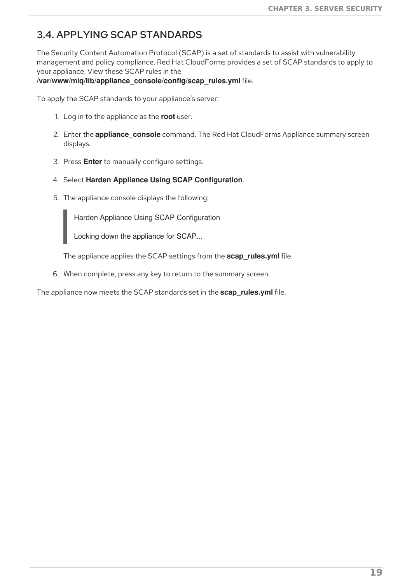# <span id="page-22-0"></span>3.4. APPLYING SCAP STANDARDS

The Security Content Automation Protocol (SCAP) is a set of standards to assist with vulnerability management and policy compliance. Red Hat CloudForms provides a set of SCAP standards to apply to your appliance. View these SCAP rules in the **/var/www/miq/lib/appliance\_console/config/scap\_rules.yml** file.

To apply the SCAP standards to your appliance's server:

- 1. Log in to the appliance as the **root** user.
- 2. Enter the **appliance\_console** command. The Red Hat CloudForms Appliance summary screen displays.
- 3. Press **Enter** to manually configure settings.
- 4. Select **Harden Appliance Using SCAP Configuration**.
- 5. The appliance console displays the following:

Harden Appliance Using SCAP Configuration

Locking down the appliance for SCAP...

The appliance applies the SCAP settings from the **scap rules.yml** file.

6. When complete, press any key to return to the summary screen.

The appliance now meets the SCAP standards set in the **scap\_rules.yml** file.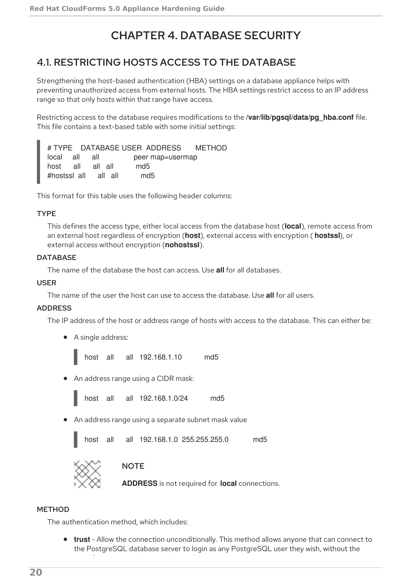# CHAPTER 4. DATABASE SECURITY

# <span id="page-23-1"></span><span id="page-23-0"></span>4.1. RESTRICTING HOSTS ACCESS TO THE DATABASE

Strengthening the host-based authentication (HBA) settings on a database appliance helps with preventing unauthorized access from external hosts. The HBA settings restrict access to an IP address range so that only hosts within that range have access.

Restricting access to the database requires modifications to the **/var/lib/pgsql/data/pg\_hba.conf** file. This file contains a text-based table with some initial settings:

# TYPE DATABASE USER ADDRESS METHOD local all all peer map=usermap host all all all md5 #hostssl all all all md5

This format for this table uses the following header columns:

#### TYPE

This defines the access type, either local access from the database host (**local**), remote access from an external host regardless of encryption (**host**), external access with encryption ( **hostssl**), or external access without encryption (**nohostssl**).

#### **DATABASE**

The name of the database the host can access. Use **all** for all databases.

#### USER

The name of the user the host can use to access the database. Use **all** for all users.

#### **ADDRESS**

The IP address of the host or address range of hosts with access to the database. This can either be:

A single address:

host all all 192.168.1.10 md5

An address range using a CIDR mask:

host all all 192.168.1.0/24 md5

An address range using a separate subnet mask value

need for a password or any other authentication.

host all all 192.168.1.0 255.255.255.0 md5



#### **NOTE**

**ADDRESS** is not required for **local** connections.

#### **METHOD**

The authentication method, which includes:

**trust** - Allow the connection unconditionally. This method allows anyone that can connect to the PostgreSQL database server to login as any PostgreSQL user they wish, without the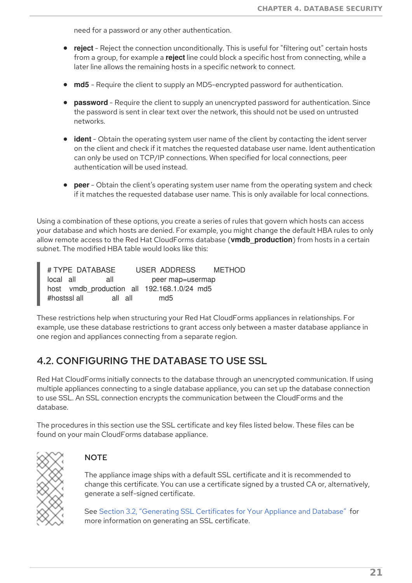need for a password or any other authentication.

- **reject** Reject the connection unconditionally. This is useful for "filtering out" certain hosts from a group, for example a **reject** line could block a specific host from connecting, while a later line allows the remaining hosts in a specific network to connect.
- **md5** Require the client to supply an MD5-encrypted password for authentication.
- **password** Require the client to supply an unencrypted password for authentication. Since the password is sent in clear text over the network, this should not be used on untrusted networks.
- **ident** Obtain the operating system user name of the client by contacting the ident server on the client and check if it matches the requested database user name. Ident authentication can only be used on TCP/IP connections. When specified for local connections, peer authentication will be used instead.
- **peer** Obtain the client's operating system user name from the operating system and check if it matches the requested database user name. This is only available for local connections.

Using a combination of these options, you create a series of rules that govern which hosts can access your database and which hosts are denied. For example, you might change the default HBA rules to only allow remote access to the Red Hat CloudForms database (**vmdb\_production**) from hosts in a certain subnet. The modified HBA table would looks like this:

# TYPE DATABASE USER ADDRESS METHOD local all all beer map=usermap host vmdb production all 192.168.1.0/24 md5 #hostssl all all all md5

These restrictions help when structuring your Red Hat CloudForms appliances in relationships. For example, use these database restrictions to grant access only between a master database appliance in one region and appliances connecting from a separate region.

## <span id="page-24-0"></span>4.2. CONFIGURING THE DATABASE TO USE SSL

Red Hat CloudForms initially connects to the database through an unencrypted communication. If using multiple appliances connecting to a single database appliance, you can set up the database connection to use SSL. An SSL connection encrypts the communication between the CloudForms and the database.

The procedures in this section use the SSL certificate and key files listed below. These files can be found on your main CloudForms database appliance.



#### **NOTE**

The appliance image ships with a default SSL certificate and it is recommended to change this certificate. You can use a certificate signed by a trusted CA or, alternatively, generate a self-signed certificate.

See Section 3.2, ["Generating](#page-19-2) SSL Certificates for Your Appliance and Database" for more information on generating an SSL certificate.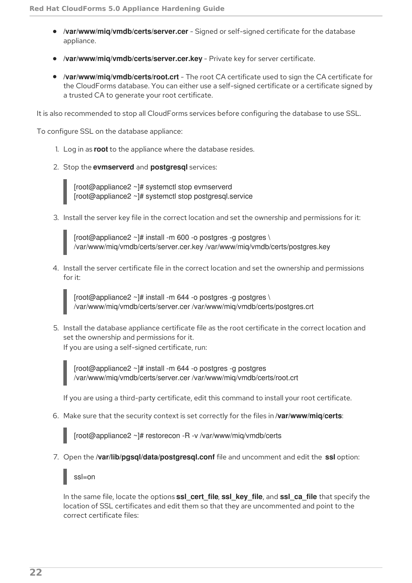- <span id="page-25-0"></span>**/var/www/miq/vmdb/certs/server.cer** - Signed or self-signed certificate for the database appliance.
- **/var/www/miq/vmdb/certs/server.cer.key** Private key for server certificate.
- **/var/www/miq/vmdb/certs/root.crt** The root CA certificate used to sign the CA certificate for the CloudForms database. You can either use a self-signed certificate or a certificate signed by a trusted CA to generate your root certificate.

It is also recommended to stop all CloudForms services before configuring the database to use SSL.

To configure SSL on the database appliance:

- 1. Log in as **root** to the appliance where the database resides.
- 2. Stop the **evmserverd** and **postgresql** services:

[root@appliance2 ~]# systemctl stop evmserverd [root@appliance2 ~]# systemctl stop postgresql.service

3. Install the server key file in the correct location and set the ownership and permissions for it:

[root@appliance2 ~]# install -m 600 -o postgres -g postgres \ /var/www/miq/vmdb/certs/server.cer.key /var/www/miq/vmdb/certs/postgres.key

4. Install the server certificate file in the correct location and set the ownership and permissions for it:

[root@appliance2 ~]# install -m 644 -o postgres -g postgres \ /var/www/miq/vmdb/certs/server.cer /var/www/miq/vmdb/certs/postgres.crt

5. Install the database appliance certificate file as the root certificate in the correct location and set the ownership and permissions for it. If you are using a self-signed certificate, run:

[root@appliance2 ~]# install -m 644 -o postgres -g postgres /var/www/miq/vmdb/certs/server.cer /var/www/miq/vmdb/certs/root.crt

If you are using a third-party certificate, edit this command to install your root certificate.

6. Make sure that the security context is set correctly for the files in **/var/www/miq/certs**:

[root@appliance2 ~]# restorecon -R -v /var/www/miq/vmdb/certs

7. Open the **/var/lib/pgsql/data/postgresql.conf** file and uncomment and edit the **ssl** option:

ssl=on

In the same file, locate the options **ssl\_cert\_file**, **ssl\_key\_file**, and **ssl\_ca\_file** that specify the location of SSL certificates and edit them so that they are uncommented and point to the correct certificate files: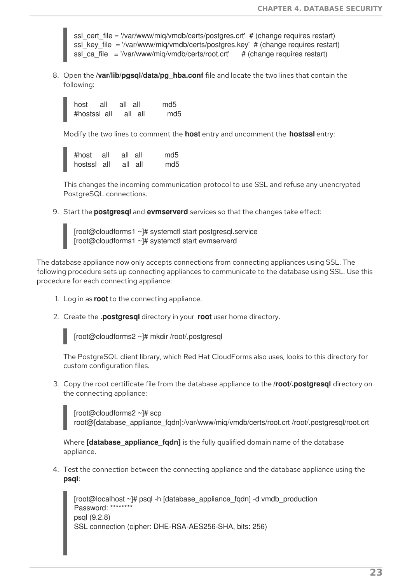ssl\_cert\_file = '/var/www/mig/vmdb/certs/postgres.crt' # (change requires restart) ssl key file = '/var/www/mig/vmdb/certs/postgres.key' # (change requires restart) ssl ca file = '/var/www/miq/vmdb/certs/root.crt'  $#$  (change requires restart)

8. Open the **/var/lib/pgsql/data/pg\_hba.conf** file and locate the two lines that contain the following:

host all all all md5 #hostssl all all all md5

Modify the two lines to comment the **host** entry and uncomment the **hostssl** entry:

#host all all all md5 hostssl all all all md5

This changes the incoming communication protocol to use SSL and refuse any unencrypted PostgreSQL connections.

9. Start the **postgresql** and **evmserverd** services so that the changes take effect:

[root@cloudforms1 ~]# systemctl start postgresql.service [root@cloudforms1 ~]# systemctl start evmserverd

The database appliance now only accepts connections from connecting appliances using SSL. The following procedure sets up connecting appliances to communicate to the database using SSL. Use this procedure for each connecting appliance:

- 1. Log in as **root** to the connecting appliance.
- 2. Create the **.postgresql** directory in your **root** user home directory.

[root@cloudforms2 ~]# mkdir /root/.postgresql

The PostgreSQL client library, which Red Hat CloudForms also uses, looks to this directory for custom configuration files.

3. Copy the root certificate file from the database appliance to the **/root/.postgresql** directory on the connecting appliance:

[root@cloudforms2 ~]# scp root@[database\_appliance\_fqdn]:/var/www/miq/vmdb/certs/root.crt /root/.postgresql/root.crt

Where **[database\_appliance\_fqdn]** is the fully qualified domain name of the database appliance.

4. Test the connection between the connecting appliance and the database appliance using the **psql**:

[root@localhost ~]# psql -h [database\_appliance\_fqdn] -d vmdb\_production Password: \* psql (9.2.8) SSL connection (cipher: DHE-RSA-AES256-SHA, bits: 256)